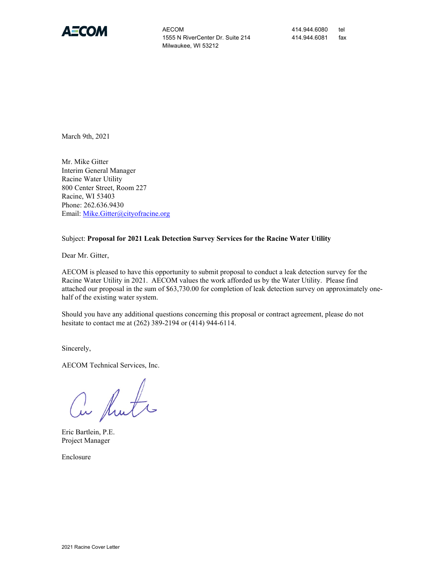

AECOM 414.944.6080 tel 1555 N RiverCenter Dr. Suite 214 414.944.6081 fax Milwaukee, WI 53212

March 9th, 2021

Mr. Mike Gitter Interim General Manager Racine Water Utility 800 Center Street, Room 227 Racine, WI 53403 Phone: 262.636.9430 Email: [Mike.Gitter@cityofracine.org](mailto:Mike.Gitter@cityofracine.org)

#### Subject: **Proposal for 2021 Leak Detection Survey Services for the Racine Water Utility**

Dear Mr. Gitter,

AECOM is pleased to have this opportunity to submit proposal to conduct a leak detection survey for the Racine Water Utility in 2021. AECOM values the work afforded us by the Water Utility. Please find attached our proposal in the sum of \$63,730.00 for completion of leak detection survey on approximately onehalf of the existing water system.

Should you have any additional questions concerning this proposal or contract agreement, please do not hesitate to contact me at (262) 389-2194 or (414) 944-6114.

Sincerely,

AECOM Technical Services, Inc.

a Rute

Eric Bartlein, P.E. Project Manager

Enclosure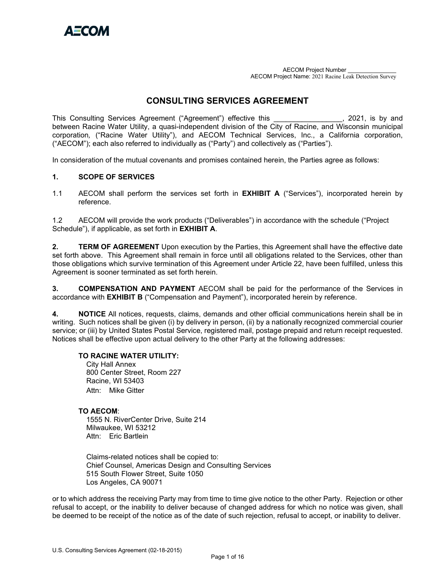

AECOM Project Number \_\_\_\_\_\_\_\_\_\_\_\_\_\_\_ AECOM Project Name: 2021 Racine Leak Detection Survey

## **CONSULTING SERVICES AGREEMENT**

This Consulting Services Agreement ("Agreement") effective this \_\_\_\_\_\_\_\_\_\_\_\_\_\_\_, 2021, is by and between Racine Water Utility, a quasi-independent division of the City of Racine, and Wisconsin municipal corporation*,* ("Racine Water Utility"), and AECOM Technical Services, Inc., a California corporation, ("AECOM"); each also referred to individually as ("Party") and collectively as ("Parties").

In consideration of the mutual covenants and promises contained herein, the Parties agree as follows:

### **1. SCOPE OF SERVICES**

1.1 AECOM shall perform the services set forth in **EXHIBIT A** ("Services"), incorporated herein by reference.

1.2 AECOM will provide the work products ("Deliverables") in accordance with the schedule ("Project Schedule"), if applicable, as set forth in **EXHIBIT A**.

**2. TERM OF AGREEMENT** Upon execution by the Parties, this Agreement shall have the effective date set forth above. This Agreement shall remain in force until all obligations related to the Services, other than those obligations which survive termination of this Agreement under Article 22, have been fulfilled, unless this Agreement is sooner terminated as set forth herein.

**3. COMPENSATION AND PAYMENT** AECOM shall be paid for the performance of the Services in accordance with **EXHIBIT B** ("Compensation and Payment"), incorporated herein by reference.

**4. NOTICE** All notices, requests, claims, demands and other official communications herein shall be in writing. Such notices shall be given (i) by delivery in person, (ii) by a nationally recognized commercial courier service; or (iii) by United States Postal Service, registered mail, postage prepaid and return receipt requested. Notices shall be effective upon actual delivery to the other Party at the following addresses:

#### **TO RACINE WATER UTILITY:**

City Hall Annex 800 Center Street, Room 227 Racine, WI 53403 Attn: Mike Gitter

#### **TO AECOM**:

1555 N. RiverCenter Drive, Suite 214 Milwaukee, WI 53212 Attn: Eric Bartlein

Claims-related notices shall be copied to: Chief Counsel, Americas Design and Consulting Services 515 South Flower Street, Suite 1050 Los Angeles, CA 90071

or to which address the receiving Party may from time to time give notice to the other Party. Rejection or other refusal to accept, or the inability to deliver because of changed address for which no notice was given, shall be deemed to be receipt of the notice as of the date of such rejection, refusal to accept, or inability to deliver.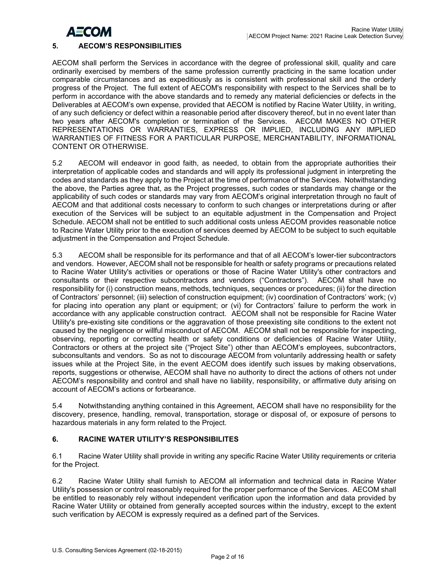

### **5. AECOM'S RESPONSIBILITIES**

AECOM shall perform the Services in accordance with the degree of professional skill, quality and care ordinarily exercised by members of the same profession currently practicing in the same location under comparable circumstances and as expeditiously as is consistent with professional skill and the orderly progress of the Project. The full extent of AECOM's responsibility with respect to the Services shall be to perform in accordance with the above standards and to remedy any material deficiencies or defects in the Deliverables at AECOM's own expense, provided that AECOM is notified by Racine Water Utility, in writing, of any such deficiency or defect within a reasonable period after discovery thereof, but in no event later than two years after AECOM's completion or termination of the Services. AECOM MAKES NO OTHER REPRESENTATIONS OR WARRANTIES, EXPRESS OR IMPLIED, INCLUDING ANY IMPLIED WARRANTIES OF FITNESS FOR A PARTICULAR PURPOSE, MERCHANTABILITY, INFORMATIONAL CONTENT OR OTHERWISE.

5.2 AECOM will endeavor in good faith, as needed, to obtain from the appropriate authorities their interpretation of applicable codes and standards and will apply its professional judgment in interpreting the codes and standards as they apply to the Project at the time of performance of the Services. Notwithstanding the above, the Parties agree that, as the Project progresses, such codes or standards may change or the applicability of such codes or standards may vary from AECOM's original interpretation through no fault of AECOM and that additional costs necessary to conform to such changes or interpretations during or after execution of the Services will be subject to an equitable adjustment in the Compensation and Project Schedule. AECOM shall not be entitled to such additional costs unless AECOM provides reasonable notice to Racine Water Utility prior to the execution of services deemed by AECOM to be subject to such equitable adjustment in the Compensation and Project Schedule.

5.3 AECOM shall be responsible for its performance and that of all AECOM's lower-tier subcontractors and vendors. However, AECOM shall not be responsible for health or safety programs or precautions related to Racine Water Utility's activities or operations or those of Racine Water Utility's other contractors and consultants or their respective subcontractors and vendors ("Contractors"). AECOM shall have no responsibility for (i) construction means, methods, techniques, sequences or procedures; (ii) for the direction of Contractors' personnel; (iii) selection of construction equipment; (iv) coordination of Contractors' work; (v) for placing into operation any plant or equipment; or (vi) for Contractors' failure to perform the work in accordance with any applicable construction contract. AECOM shall not be responsible for Racine Water Utility's pre-existing site conditions or the aggravation of those preexisting site conditions to the extent not caused by the negligence or willful misconduct of AECOM. AECOM shall not be responsible for inspecting, observing, reporting or correcting health or safety conditions or deficiencies of Racine Water Utility, Contractors or others at the project site ("Project Site") other than AECOM's employees, subcontractors, subconsultants and vendors. So as not to discourage AECOM from voluntarily addressing health or safety issues while at the Project Site, in the event AECOM does identify such issues by making observations, reports, suggestions or otherwise, AECOM shall have no authority to direct the actions of others not under AECOM's responsibility and control and shall have no liability, responsibility, or affirmative duty arising on account of AECOM's actions or forbearance.

5.4 Notwithstanding anything contained in this Agreement, AECOM shall have no responsibility for the discovery, presence, handling, removal, transportation, storage or disposal of, or exposure of persons to hazardous materials in any form related to the Project.

### **6. RACINE WATER UTILITY'S RESPONSIBILITES**

6.1 Racine Water Utility shall provide in writing any specific Racine Water Utility requirements or criteria for the Project.

6.2 Racine Water Utility shall furnish to AECOM all information and technical data in Racine Water Utility's possession or control reasonably required for the proper performance of the Services. AECOM shall be entitled to reasonably rely without independent verification upon the information and data provided by Racine Water Utility or obtained from generally accepted sources within the industry, except to the extent such verification by AECOM is expressly required as a defined part of the Services.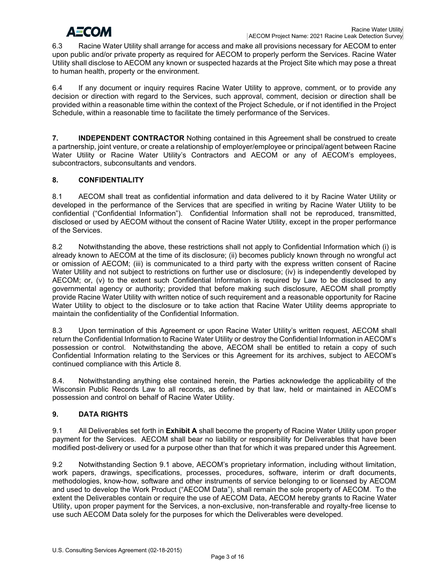# **AECOM**

6.3 Racine Water Utility shall arrange for access and make all provisions necessary for AECOM to enter upon public and/or private property as required for AECOM to properly perform the Services. Racine Water Utility shall disclose to AECOM any known or suspected hazards at the Project Site which may pose a threat to human health, property or the environment.

6.4 If any document or inquiry requires Racine Water Utility to approve, comment, or to provide any decision or direction with regard to the Services, such approval, comment, decision or direction shall be provided within a reasonable time within the context of the Project Schedule, or if not identified in the Project Schedule, within a reasonable time to facilitate the timely performance of the Services.

**7. INDEPENDENT CONTRACTOR** Nothing contained in this Agreement shall be construed to create a partnership, joint venture, or create a relationship of employer/employee or principal/agent between Racine Water Utility or Racine Water Utility's Contractors and AECOM or any of AECOM's employees, subcontractors, subconsultants and vendors.

## **8. CONFIDENTIALITY**

8.1 AECOM shall treat as confidential information and data delivered to it by Racine Water Utility or developed in the performance of the Services that are specified in writing by Racine Water Utility to be confidential ("Confidential Information"). Confidential Information shall not be reproduced, transmitted, disclosed or used by AECOM without the consent of Racine Water Utility, except in the proper performance of the Services.

8.2 Notwithstanding the above, these restrictions shall not apply to Confidential Information which (i) is already known to AECOM at the time of its disclosure; (ii) becomes publicly known through no wrongful act or omission of AECOM; (iii) is communicated to a third party with the express written consent of Racine Water Utility and not subject to restrictions on further use or disclosure; (iv) is independently developed by AECOM; or, (v) to the extent such Confidential Information is required by Law to be disclosed to any governmental agency or authority; provided that before making such disclosure, AECOM shall promptly provide Racine Water Utility with written notice of such requirement and a reasonable opportunity for Racine Water Utility to object to the disclosure or to take action that Racine Water Utility deems appropriate to maintain the confidentiality of the Confidential Information.

8.3 Upon termination of this Agreement or upon Racine Water Utility's written request, AECOM shall return the Confidential Information to Racine Water Utility or destroy the Confidential Information in AECOM's possession or control. Notwithstanding the above, AECOM shall be entitled to retain a copy of such Confidential Information relating to the Services or this Agreement for its archives, subject to AECOM's continued compliance with this Article 8.

8.4. Notwithstanding anything else contained herein, the Parties acknowledge the applicability of the Wisconsin Public Records Law to all records, as defined by that law, held or maintained in AECOM's possession and control on behalf of Racine Water Utility.

## **9. DATA RIGHTS**

9.1 All Deliverables set forth in **Exhibit A** shall become the property of Racine Water Utility upon proper payment for the Services. AECOM shall bear no liability or responsibility for Deliverables that have been modified post-delivery or used for a purpose other than that for which it was prepared under this Agreement.

9.2 Notwithstanding Section 9.1 above, AECOM's proprietary information, including without limitation, work papers, drawings, specifications, processes, procedures, software, interim or draft documents, methodologies, know-how, software and other instruments of service belonging to or licensed by AECOM and used to develop the Work Product ("AECOM Data"), shall remain the sole property of AECOM. To the extent the Deliverables contain or require the use of AECOM Data, AECOM hereby grants to Racine Water Utility, upon proper payment for the Services, a non-exclusive, non-transferable and royalty-free license to use such AECOM Data solely for the purposes for which the Deliverables were developed.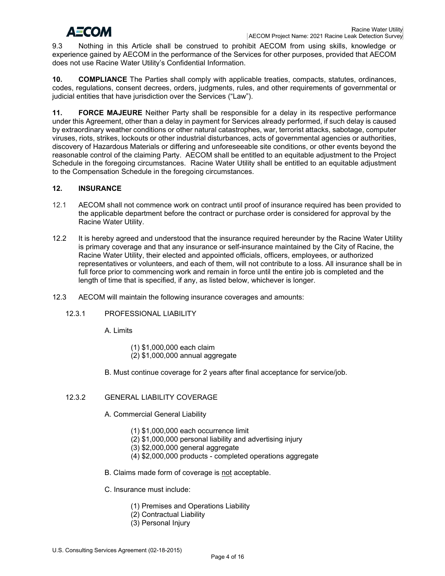# ДЕСОМ

9.3 Nothing in this Article shall be construed to prohibit AECOM from using skills, knowledge or experience gained by AECOM in the performance of the Services for other purposes, provided that AECOM does not use Racine Water Utility's Confidential Information.

**10. COMPLIANCE** The Parties shall comply with applicable treaties, compacts, statutes, ordinances, codes, regulations, consent decrees, orders, judgments, rules, and other requirements of governmental or judicial entities that have jurisdiction over the Services ("Law").

**11. FORCE MAJEURE** Neither Party shall be responsible for a delay in its respective performance under this Agreement, other than a delay in payment for Services already performed, if such delay is caused by extraordinary weather conditions or other natural catastrophes, war, terrorist attacks, sabotage, computer viruses, riots, strikes, lockouts or other industrial disturbances, acts of governmental agencies or authorities, discovery of Hazardous Materials or differing and unforeseeable site conditions, or other events beyond the reasonable control of the claiming Party. AECOM shall be entitled to an equitable adjustment to the Project Schedule in the foregoing circumstances. Racine Water Utility shall be entitled to an equitable adjustment to the Compensation Schedule in the foregoing circumstances.

## **12. INSURANCE**

- 12.1 AECOM shall not commence work on contract until proof of insurance required has been provided to the applicable department before the contract or purchase order is considered for approval by the Racine Water Utility.
- 12.2 It is hereby agreed and understood that the insurance required hereunder by the Racine Water Utility is primary coverage and that any insurance or self-insurance maintained by the City of Racine, the Racine Water Utility, their elected and appointed officials, officers, employees, or authorized representatives or volunteers, and each of them, will not contribute to a loss. All insurance shall be in full force prior to commencing work and remain in force until the entire job is completed and the length of time that is specified, if any, as listed below, whichever is longer.
- 12.3 AECOM will maintain the following insurance coverages and amounts:
	- 12.3.1 PROFESSIONAL LIABILITY

A. Limits

- (1) \$1,000,000 each claim (2) \$1,000,000 annual aggregate
- B. Must continue coverage for 2 years after final acceptance for service/job.

## 12.3.2 GENERAL LIABILITY COVERAGE

- A. Commercial General Liability
	- (1) \$1,000,000 each occurrence limit
	- (2) \$1,000,000 personal liability and advertising injury
	- (3) \$2,000,000 general aggregate
	- (4) \$2,000,000 products completed operations aggregate
- B. Claims made form of coverage is not acceptable.
- C. Insurance must include:
	- (1) Premises and Operations Liability
	- (2) Contractual Liability
	- (3) Personal Injury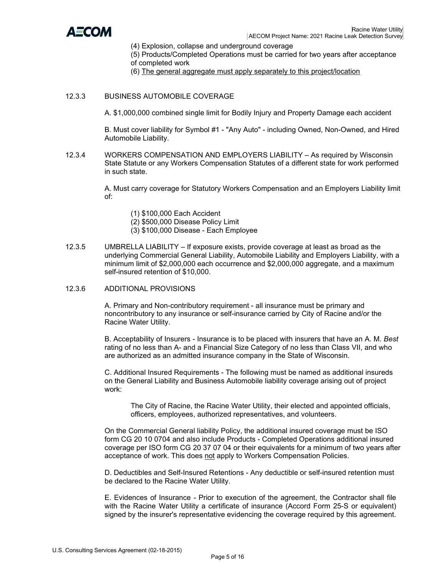

- (4) Explosion, collapse and underground coverage
- (5) Products/Completed Operations must be carried for two years after acceptance of completed work
- (6) The general aggregate must apply separately to this project/location
- 12.3.3 BUSINESS AUTOMOBILE COVERAGE

A. \$1,000,000 combined single limit for Bodily Injury and Property Damage each accident

B. Must cover liability for Symbol #1 - "Any Auto" - including Owned, Non-Owned, and Hired Automobile Liability.

12.3.4 WORKERS COMPENSATION AND EMPLOYERS LIABILITY – As required by Wisconsin State Statute or any Workers Compensation Statutes of a different state for work performed in such state.

> A. Must carry coverage for Statutory Workers Compensation and an Employers Liability limit of:

- (1) \$100,000 Each Accident
- (2) \$500,000 Disease Policy Limit
- (3) \$100,000 Disease Each Employee
- 12.3.5 UMBRELLA LIABILITY If exposure exists, provide coverage at least as broad as the underlying Commercial General Liability, Automobile Liability and Employers Liability, with a minimum limit of \$2,000,000 each occurrence and \$2,000,000 aggregate, and a maximum self-insured retention of \$10,000.
- 12.3.6 ADDITIONAL PROVISIONS

A. Primary and Non-contributory requirement - all insurance must be primary and noncontributory to any insurance or self-insurance carried by City of Racine and/or the Racine Water Utility.

B. Acceptability of Insurers - Insurance is to be placed with insurers that have an A. M. *Best*  rating of no less than A- and a Financial Size Category of no less than Class VII, and who are authorized as an admitted insurance company in the State of Wisconsin.

C. Additional Insured Requirements - The following must be named as additional insureds on the General Liability and Business Automobile liability coverage arising out of project work:

The City of Racine, the Racine Water Utility, their elected and appointed officials, officers, employees, authorized representatives, and volunteers.

On the Commercial General liability Policy, the additional insured coverage must be ISO form CG 20 10 0704 and also include Products - Completed Operations additional insured coverage per ISO form CG 20 37 07 04 or their equivalents for a minimum of two years after acceptance of work. This does not apply to Workers Compensation Policies.

D. Deductibles and Self-Insured Retentions - Any deductible or self-insured retention must be declared to the Racine Water Utility.

E. Evidences of Insurance - Prior to execution of the agreement, the Contractor shall file with the Racine Water Utility a certificate of insurance (Accord Form 25-S or equivalent) signed by the insurer's representative evidencing the coverage required by this agreement.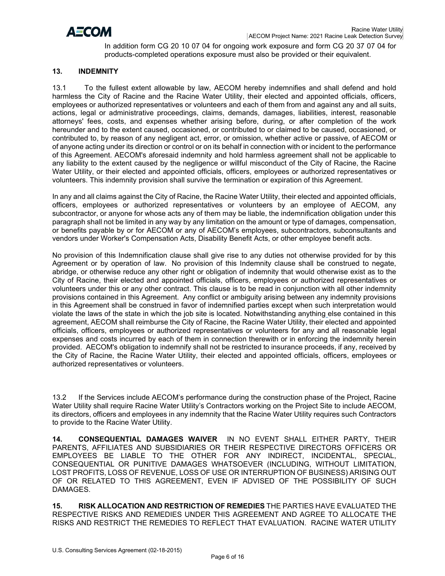

In addition form CG 20 10 07 04 for ongoing work exposure and form CG 20 37 07 04 for products-completed operations exposure must also be provided or their equivalent.

### **13. INDEMNITY**

13.1 To the fullest extent allowable by law, AECOM hereby indemnifies and shall defend and hold harmless the City of Racine and the Racine Water Utility, their elected and appointed officials, officers, employees or authorized representatives or volunteers and each of them from and against any and all suits, actions, legal or administrative proceedings, claims, demands, damages, liabilities, interest, reasonable attorneys' fees, costs, and expenses whether arising before, during, or after completion of the work hereunder and to the extent caused, occasioned, or contributed to or claimed to be caused, occasioned, or contributed to, by reason of any negligent act, error, or omission, whether active or passive, of AECOM or of anyone acting under its direction or control or on its behalf in connection with or incident to the performance of this Agreement. AECOM's aforesaid indemnity and hold harmless agreement shall not be applicable to any liability to the extent caused by the negligence or willful misconduct of the City of Racine, the Racine Water Utility, or their elected and appointed officials, officers, employees or authorized representatives or volunteers. This indemnity provision shall survive the termination or expiration of this Agreement.

In any and all claims against the City of Racine, the Racine Water Utility, their elected and appointed officials, officers, employees or authorized representatives or volunteers by an employee of AECOM, any subcontractor, or anyone for whose acts any of them may be liable, the indemnification obligation under this paragraph shall not be limited in any way by any limitation on the amount or type of damages, compensation, or benefits payable by or for AECOM or any of AECOM's employees, subcontractors, subconsultants and vendors under Worker's Compensation Acts, Disability Benefit Acts, or other employee benefit acts.

No provision of this Indemnification clause shall give rise to any duties not otherwise provided for by this Agreement or by operation of law. No provision of this Indemnity clause shall be construed to negate, abridge, or otherwise reduce any other right or obligation of indemnity that would otherwise exist as to the City of Racine, their elected and appointed officials, officers, employees or authorized representatives or volunteers under this or any other contract. This clause is to be read in conjunction with all other indemnity provisions contained in this Agreement. Any conflict or ambiguity arising between any indemnity provisions in this Agreement shall be construed in favor of indemnified parties except when such interpretation would violate the laws of the state in which the job site is located. Notwithstanding anything else contained in this agreement, AECOM shall reimburse the City of Racine, the Racine Water Utility, their elected and appointed officials, officers, employees or authorized representatives or volunteers for any and all reasonable legal expenses and costs incurred by each of them in connection therewith or in enforcing the indemnity herein provided. AECOM's obligation to indemnify shall not be restricted to insurance proceeds, if any, received by the City of Racine, the Racine Water Utility, their elected and appointed officials, officers, employees or authorized representatives or volunteers.

13.2 If the Services include AECOM's performance during the construction phase of the Project, Racine Water Utility shall require Racine Water Utility's Contractors working on the Project Site to include AECOM, its directors, officers and employees in any indemnity that the Racine Water Utility requires such Contractors to provide to the Racine Water Utility.

**14. CONSEQUENTIAL DAMAGES WAIVER** IN NO EVENT SHALL EITHER PARTY, THEIR PARENTS, AFFILIATES AND SUBSIDIARIES OR THEIR RESPECTIVE DIRECTORS OFFICERS OR EMPLOYEES BE LIABLE TO THE OTHER FOR ANY INDIRECT, INCIDENTAL, SPECIAL, CONSEQUENTIAL OR PUNITIVE DAMAGES WHATSOEVER (INCLUDING, WITHOUT LIMITATION, LOST PROFITS, LOSS OF REVENUE, LOSS OF USE OR INTERRUPTION OF BUSINESS) ARISING OUT OF OR RELATED TO THIS AGREEMENT, EVEN IF ADVISED OF THE POSSIBILITY OF SUCH DAMAGES.

**15. RISK ALLOCATION AND RESTRICTION OF REMEDIES** THE PARTIES HAVE EVALUATED THE RESPECTIVE RISKS AND REMEDIES UNDER THIS AGREEMENT AND AGREE TO ALLOCATE THE RISKS AND RESTRICT THE REMEDIES TO REFLECT THAT EVALUATION. RACINE WATER UTILITY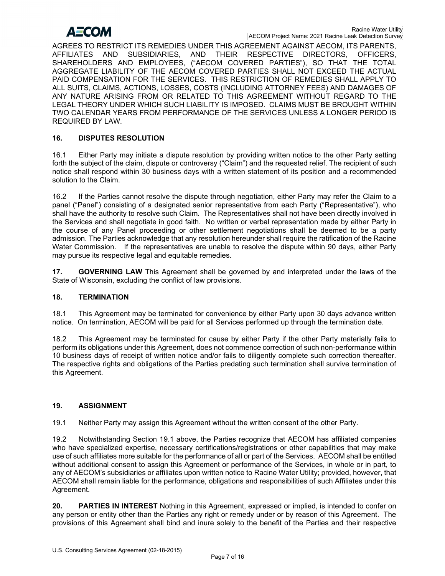## АЕСОМ

AGREES TO RESTRICT ITS REMEDIES UNDER THIS AGREEMENT AGAINST AECOM, ITS PARENTS, AFFILIATES AND SUBSIDIARIES, AND THEIR RESPECTIVE DIRECTORS, OFFICERS, SHAREHOLDERS AND EMPLOYEES, ("AECOM COVERED PARTIES"), SO THAT THE TOTAL AGGREGATE LIABILITY OF THE AECOM COVERED PARTIES SHALL NOT EXCEED THE ACTUAL PAID COMPENSATION FOR THE SERVICES. THIS RESTRICTION OF REMEDIES SHALL APPLY TO ALL SUITS, CLAIMS, ACTIONS, LOSSES, COSTS (INCLUDING ATTORNEY FEES) AND DAMAGES OF ANY NATURE ARISING FROM OR RELATED TO THIS AGREEMENT WITHOUT REGARD TO THE LEGAL THEORY UNDER WHICH SUCH LIABILITY IS IMPOSED. CLAIMS MUST BE BROUGHT WITHIN TWO CALENDAR YEARS FROM PERFORMANCE OF THE SERVICES UNLESS A LONGER PERIOD IS REQUIRED BY LAW.

## **16. DISPUTES RESOLUTION**

16.1 Either Party may initiate a dispute resolution by providing written notice to the other Party setting forth the subject of the claim, dispute or controversy ("Claim") and the requested relief. The recipient of such notice shall respond within 30 business days with a written statement of its position and a recommended solution to the Claim.

16.2 If the Parties cannot resolve the dispute through negotiation, either Party may refer the Claim to a panel ("Panel") consisting of a designated senior representative from each Party ("Representative"), who shall have the authority to resolve such Claim. The Representatives shall not have been directly involved in the Services and shall negotiate in good faith. No written or verbal representation made by either Party in the course of any Panel proceeding or other settlement negotiations shall be deemed to be a party admission. The Parties acknowledge that any resolution hereunder shall require the ratification of the Racine Water Commission. If the representatives are unable to resolve the dispute within 90 days, either Party may pursue its respective legal and equitable remedies.

**17. GOVERNING LAW** This Agreement shall be governed by and interpreted under the laws of the State of Wisconsin, excluding the conflict of law provisions.

## **18. TERMINATION**

18.1 This Agreement may be terminated for convenience by either Party upon 30 days advance written notice. On termination, AECOM will be paid for all Services performed up through the termination date.

18.2 This Agreement may be terminated for cause by either Party if the other Party materially fails to perform its obligations under this Agreement, does not commence correction of such non-performance within 10 business days of receipt of written notice and/or fails to diligently complete such correction thereafter. The respective rights and obligations of the Parties predating such termination shall survive termination of this Agreement.

## **19. ASSIGNMENT**

19.1 Neither Party may assign this Agreement without the written consent of the other Party.

19.2 Notwithstanding Section 19.1 above, the Parties recognize that AECOM has affiliated companies who have specialized expertise, necessary certifications/registrations or other capabilities that may make use of such affiliates more suitable for the performance of all or part of the Services. AECOM shall be entitled without additional consent to assign this Agreement or performance of the Services, in whole or in part, to any of AECOM's subsidiaries or affiliates upon written notice to Racine Water Utility; provided, however, that AECOM shall remain liable for the performance, obligations and responsibilities of such Affiliates under this Agreement.

**20. PARTIES IN INTEREST** Nothing in this Agreement, expressed or implied, is intended to confer on any person or entity other than the Parties any right or remedy under or by reason of this Agreement. The provisions of this Agreement shall bind and inure solely to the benefit of the Parties and their respective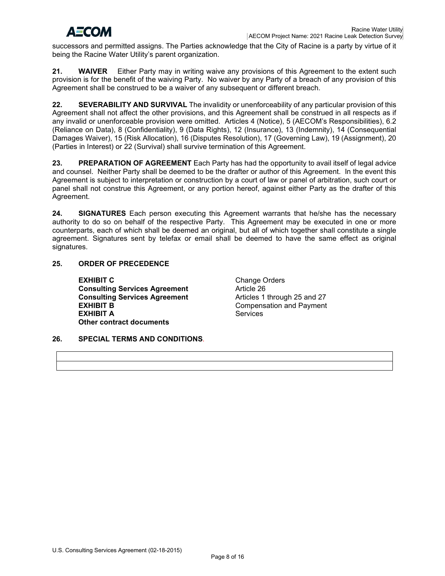# **AECOM**

successors and permitted assigns. The Parties acknowledge that the City of Racine is a party by virtue of it being the Racine Water Utility's parent organization.

**21. WAIVER** Either Party may in writing waive any provisions of this Agreement to the extent such provision is for the benefit of the waiving Party. No waiver by any Party of a breach of any provision of this Agreement shall be construed to be a waiver of any subsequent or different breach.

**22. SEVERABILITY AND SURVIVAL** The invalidity or unenforceability of any particular provision of this Agreement shall not affect the other provisions, and this Agreement shall be construed in all respects as if any invalid or unenforceable provision were omitted. Articles 4 (Notice), 5 (AECOM's Responsibilities), 6.2 (Reliance on Data), 8 (Confidentiality), 9 (Data Rights), 12 (Insurance), 13 (Indemnity), 14 (Consequential Damages Waiver), 15 (Risk Allocation), 16 (Disputes Resolution), 17 (Governing Law), 19 (Assignment), 20 (Parties in Interest) or 22 (Survival) shall survive termination of this Agreement.

**23. PREPARATION OF AGREEMENT** Each Party has had the opportunity to avail itself of legal advice and counsel. Neither Party shall be deemed to be the drafter or author of this Agreement. In the event this Agreement is subject to interpretation or construction by a court of law or panel of arbitration, such court or panel shall not construe this Agreement, or any portion hereof, against either Party as the drafter of this Agreement.

**24. SIGNATURES** Each person executing this Agreement warrants that he/she has the necessary authority to do so on behalf of the respective Party. This Agreement may be executed in one or more counterparts, each of which shall be deemed an original, but all of which together shall constitute a single agreement. Signatures sent by telefax or email shall be deemed to have the same effect as original signatures.

## **25. ORDER OF PRECEDENCE**

**EXHIBIT C** Change Orders<br> **Consulting Services Agreement** Consulting Services **Consulting Services Agreement** Article 26<br> **Consulting Services Agreement** Articles 1 through 25 and 27 **Consulting Services Agreement EXHIBIT B** Compensation and Payment<br> **EXHIBIT A** Services **EXHIBIT A Other contract documents**

## **26. SPECIAL TERMS AND CONDITIONS***.*

U.S. Consulting Services Agreement (02-18-2015)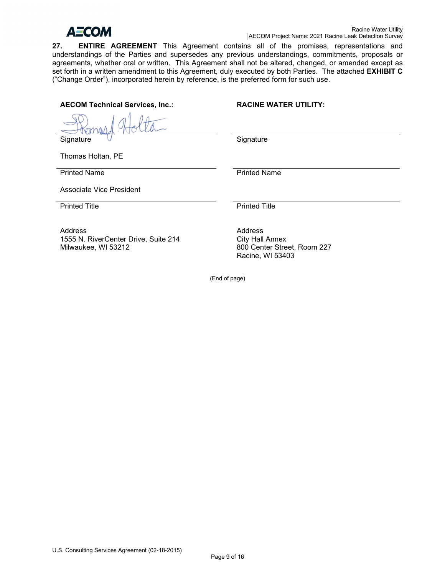

**27. ENTIRE AGREEMENT** This Agreement contains all of the promises, representations and understandings of the Parties and supersedes any previous understandings, commitments, proposals or agreements, whether oral or written. This Agreement shall not be altered, changed, or amended except as set forth in a written amendment to this Agreement, duly executed by both Parties. The attached **EXHIBIT C** ("Change Order"), incorporated herein by reference, is the preferred form for such use.

**AECOM Technical Services, Inc.: RACINE WATER UTILITY:**

**Signature** 

**Signature** 

Thomas Holtan, PE

Printed Name

Printed Name

Associate Vice President

Printed Title **Printed Title** 

Address 1555 N. RiverCenter Drive, Suite 214 Milwaukee, WI 53212

Address City Hall Annex 800 Center Street, Room 227 Racine, WI 53403

(End of page)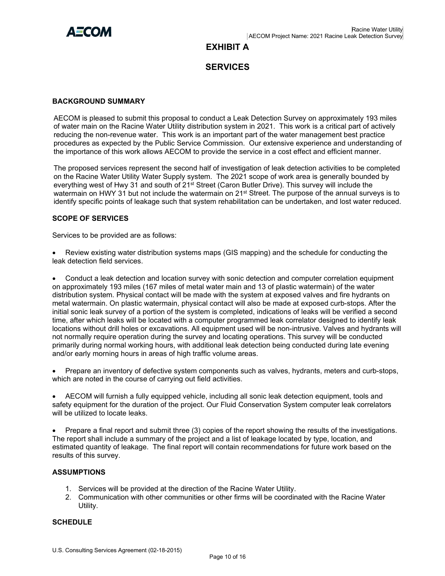

## **EXHIBIT A**

## **SERVICES**

#### **BACKGROUND SUMMARY**

AECOM is pleased to submit this proposal to conduct a Leak Detection Survey on approximately 193 miles of water main on the Racine Water Utility distribution system in 2021. This work is a critical part of actively reducing the non-revenue water. This work is an important part of the water management best practice procedures as expected by the Public Service Commission. Our extensive experience and understanding of the importance of this work allows AECOM to provide the service in a cost effect and efficient manner.

The proposed services represent the second half of investigation of leak detection activities to be completed on the Racine Water Utility Water Supply system. The 2021 scope of work area is generally bounded by everything west of Hwy 31 and south of 21st Street (Caron Butler Drive). This survey will include the watermain on HWY 31 but not include the watermain on 21<sup>st</sup> Street. The purpose of the annual surveys is to identify specific points of leakage such that system rehabilitation can be undertaken, and lost water reduced.

#### **SCOPE OF SERVICES**

Services to be provided are as follows:

• Review existing water distribution systems maps (GIS mapping) and the schedule for conducting the leak detection field services.

• Conduct a leak detection and location survey with sonic detection and computer correlation equipment on approximately 193 miles (167 miles of metal water main and 13 of plastic watermain) of the water distribution system. Physical contact will be made with the system at exposed valves and fire hydrants on metal watermain. On plastic watermain, physical contact will also be made at exposed curb-stops. After the initial sonic leak survey of a portion of the system is completed, indications of leaks will be verified a second time, after which leaks will be located with a computer programmed leak correlator designed to identify leak locations without drill holes or excavations. All equipment used will be non-intrusive. Valves and hydrants will not normally require operation during the survey and locating operations. This survey will be conducted primarily during normal working hours, with additional leak detection being conducted during late evening and/or early morning hours in areas of high traffic volume areas.

• Prepare an inventory of defective system components such as valves, hydrants, meters and curb-stops, which are noted in the course of carrying out field activities.

• AECOM will furnish a fully equipped vehicle, including all sonic leak detection equipment, tools and safety equipment for the duration of the project. Our Fluid Conservation System computer leak correlators will be utilized to locate leaks.

• Prepare a final report and submit three (3) copies of the report showing the results of the investigations. The report shall include a summary of the project and a list of leakage located by type, location, and estimated quantity of leakage. The final report will contain recommendations for future work based on the results of this survey.

### **ASSUMPTIONS**

- 1. Services will be provided at the direction of the Racine Water Utility.
- 2. Communication with other communities or other firms will be coordinated with the Racine Water Utility.

### **SCHEDULE**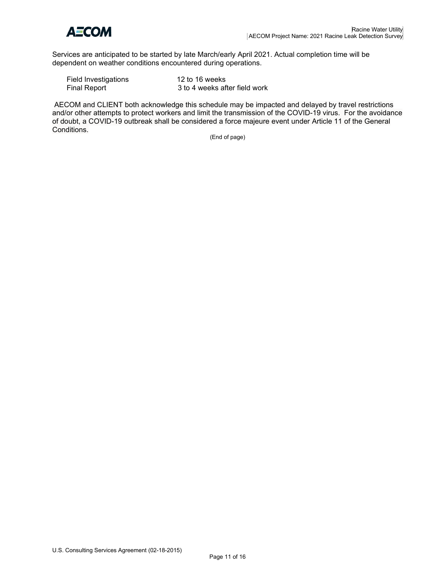

Services are anticipated to be started by late March/early April 2021. Actual completion time will be dependent on weather conditions encountered during operations.

| Field Investigations | 12 to 16 weeks                |
|----------------------|-------------------------------|
| <b>Final Report</b>  | 3 to 4 weeks after field work |

AECOM and CLIENT both acknowledge this schedule may be impacted and delayed by travel restrictions and/or other attempts to protect workers and limit the transmission of the COVID-19 virus. For the avoidance of doubt, a COVID-19 outbreak shall be considered a force majeure event under Article 11 of the General Conditions.

(End of page)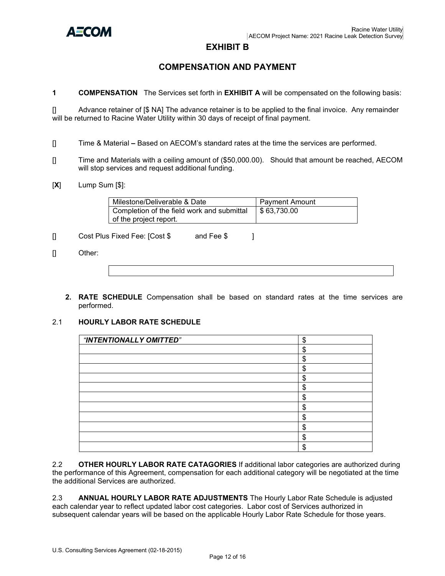

## **EXHIBIT B**

## **COMPENSATION AND PAYMENT**

**1 COMPENSATION** The Services set forth in **EXHIBIT A** will be compensated on the following basis:

[] Advance retainer of [\$ NA] The advance retainer is to be applied to the final invoice. Any remainder will be returned to Racine Water Utility within 30 days of receipt of final payment.

- [] Time & Material **–** Based on AECOM's standard rates at the time the services are performed.
- [] Time and Materials with a ceiling amount of (\$50,000.00). Should that amount be reached, AECOM will stop services and request additional funding.
- [**X**] Lump Sum [\$]:

| Milestone/Deliverable & Date               | Payment Amount            |
|--------------------------------------------|---------------------------|
| Completion of the field work and submittal | $\frac{1}{2}$ \$63,730.00 |
| of the project report.                     |                           |

[] Cost Plus Fixed Fee: [Cost \$ and Fee \$ ]

- [] Other:
	- **2. RATE SCHEDULE** Compensation shall be based on standard rates at the time services are performed.

### 2.1 **HOURLY LABOR RATE SCHEDULE**

| "INTENTIONALLY OMITTED" | \$      |
|-------------------------|---------|
|                         | \$      |
|                         | \$      |
|                         | \$      |
|                         | \$      |
|                         | \$      |
|                         | \$      |
|                         | \$      |
|                         | Φ<br>٦. |
|                         | ጦ<br>Œ  |
|                         | ጥ<br>۰D |
|                         | ጦ       |

2.2 **OTHER HOURLY LABOR RATE CATAGORIES** If additional labor categories are authorized during the performance of this Agreement, compensation for each additional category will be negotiated at the time the additional Services are authorized.

2.3 **ANNUAL HOURLY LABOR RATE ADJUSTMENTS** The Hourly Labor Rate Schedule is adjusted each calendar year to reflect updated labor cost categories. Labor cost of Services authorized in subsequent calendar years will be based on the applicable Hourly Labor Rate Schedule for those years.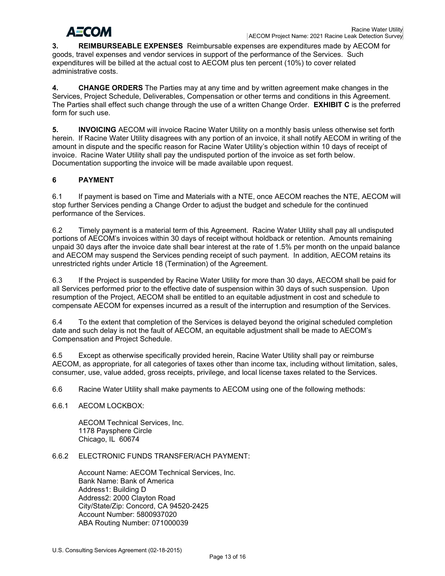# АЕСОМ

**3. REIMBURSEABLE EXPENSES** Reimbursable expenses are expenditures made by AECOM for goods, travel expenses and vendor services in support of the performance of the Services. Such expenditures will be billed at the actual cost to AECOM plus ten percent (10%) to cover related administrative costs.

**4. CHANGE ORDERS** The Parties may at any time and by written agreement make changes in the Services, Project Schedule, Deliverables, Compensation or other terms and conditions in this Agreement. The Parties shall effect such change through the use of a written Change Order. **EXHIBIT C** is the preferred form for such use.

**5. INVOICING** AECOM will invoice Racine Water Utility on a monthly basis unless otherwise set forth herein. If Racine Water Utility disagrees with any portion of an invoice, it shall notify AECOM in writing of the amount in dispute and the specific reason for Racine Water Utility's objection within 10 days of receipt of invoice. Racine Water Utility shall pay the undisputed portion of the invoice as set forth below. Documentation supporting the invoice will be made available upon request.

## **6 PAYMENT**

6.1 If payment is based on Time and Materials with a NTE, once AECOM reaches the NTE, AECOM will stop further Services pending a Change Order to adjust the budget and schedule for the continued performance of the Services.

6.2 Timely payment is a material term of this Agreement. Racine Water Utility shall pay all undisputed portions of AECOM's invoices within 30 days of receipt without holdback or retention. Amounts remaining unpaid 30 days after the invoice date shall bear interest at the rate of 1.5% per month on the unpaid balance and AECOM may suspend the Services pending receipt of such payment. In addition, AECOM retains its unrestricted rights under Article 18 (Termination) of the Agreement.

6.3 If the Project is suspended by Racine Water Utility for more than 30 days, AECOM shall be paid for all Services performed prior to the effective date of suspension within 30 days of such suspension. Upon resumption of the Project, AECOM shall be entitled to an equitable adjustment in cost and schedule to compensate AECOM for expenses incurred as a result of the interruption and resumption of the Services.

6.4 To the extent that completion of the Services is delayed beyond the original scheduled completion date and such delay is not the fault of AECOM, an equitable adjustment shall be made to AECOM's Compensation and Project Schedule.

6.5 Except as otherwise specifically provided herein, Racine Water Utility shall pay or reimburse AECOM, as appropriate, for all categories of taxes other than income tax, including without limitation, sales, consumer, use, value added, gross receipts, privilege, and local license taxes related to the Services.

6.6 Racine Water Utility shall make payments to AECOM using one of the following methods:

6.6.1 AECOM LOCKBOX:

AECOM Technical Services, Inc. 1178 Paysphere Circle Chicago, IL 60674

## 6.6.2 ELECTRONIC FUNDS TRANSFER/ACH PAYMENT:

Account Name: AECOM Technical Services, Inc. Bank Name: Bank of America Address1: Building D Address2: 2000 Clayton Road City/State/Zip: Concord, CA 94520-2425 Account Number: 5800937020 ABA Routing Number: 071000039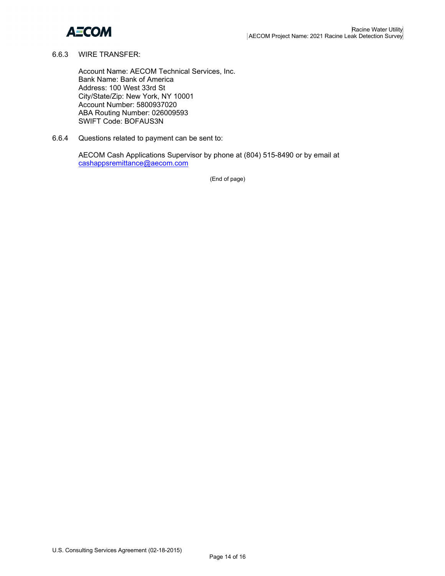

#### 6.6.3 WIRE TRANSFER:

Account Name: AECOM Technical Services, Inc. Bank Name: Bank of America Address: 100 West 33rd St City/State/Zip: New York, NY 10001 Account Number: 5800937020 ABA Routing Number: 026009593 SWIFT Code: BOFAUS3N

6.6.4 Questions related to payment can be sent to:

AECOM Cash Applications Supervisor by phone at (804) 515-8490 or by email at [cashappsremittance@aecom.com](mailto:cashappsremittance@aecom.com)

(End of page)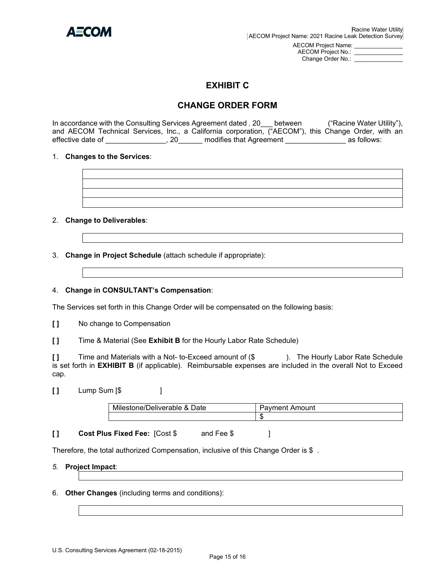

AECOM Project No.: Change Order No.:

## **EXHIBIT C**

## **CHANGE ORDER FORM**

In accordance with the Consulting Services Agreement dated *,* 20\_\_\_ between ("Racine Water Utility"), and AECOM Technical Services, Inc., a California corporation, ("AECOM"), this Change Order, with an effective date of \_\_\_\_\_\_\_\_\_\_\_\_\_\_\_, 20\_\_\_\_\_\_ modifies that Agreement \_\_\_\_\_\_\_\_\_\_\_\_\_\_\_\_\_\_\_ as follows:

### 1. **Changes to the Services**:

### 2. **Change to Deliverables**:

3. **Change in Project Schedule** (attach schedule if appropriate):

### 4. **Change in CONSULTANT's Compensation**:

The Services set forth in this Change Order will be compensated on the following basis:

**[ ]** No change to Compensation

**[ ]** Time & Material (See **Exhibit B** for the Hourly Labor Rate Schedule)

**[ ]** Time and Materials with a Not- to-Exceed amount of (\$ ). The Hourly Labor Rate Schedule is set forth in **EXHIBIT B** (if applicable). Reimbursable expenses are included in the overall Not to Exceed cap.

**[ ]** Lump Sum [\$ ]

| .<br>.<br>Milestone/Deliverable & Date | Amount<br>avment |
|----------------------------------------|------------------|
|                                        |                  |

**[ ] Cost Plus Fixed Fee:** [Cost \$ and Fee \$]

Therefore, the total authorized Compensation, inclusive of this Change Order is \$.

### *5.* **Project Impact**:

6. **Other Changes** (including terms and conditions):